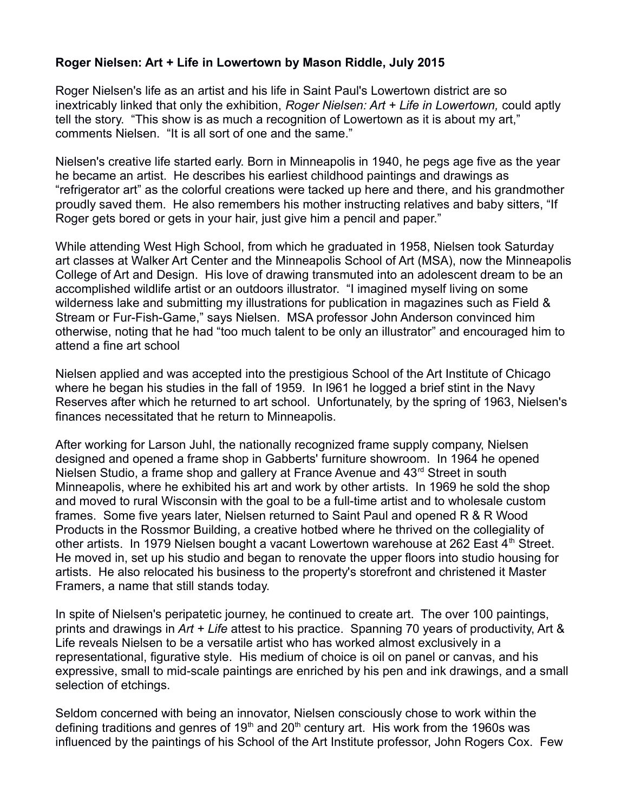## **Roger Nielsen: Art + Life in Lowertown by Mason Riddle, July 2015**

Roger Nielsen's life as an artist and his life in Saint Paul's Lowertown district are so inextricably linked that only the exhibition, *Roger Nielsen: Art + Life in Lowertown,* could aptly tell the story. "This show is as much a recognition of Lowertown as it is about my art," comments Nielsen. "It is all sort of one and the same."

Nielsen's creative life started early. Born in Minneapolis in 1940, he pegs age five as the year he became an artist. He describes his earliest childhood paintings and drawings as "refrigerator art" as the colorful creations were tacked up here and there, and his grandmother proudly saved them. He also remembers his mother instructing relatives and baby sitters, "If Roger gets bored or gets in your hair, just give him a pencil and paper."

While attending West High School, from which he graduated in 1958, Nielsen took Saturday art classes at Walker Art Center and the Minneapolis School of Art (MSA), now the Minneapolis College of Art and Design. His love of drawing transmuted into an adolescent dream to be an accomplished wildlife artist or an outdoors illustrator. "I imagined myself living on some wilderness lake and submitting my illustrations for publication in magazines such as Field & Stream or Fur-Fish-Game," says Nielsen. MSA professor John Anderson convinced him otherwise, noting that he had "too much talent to be only an illustrator" and encouraged him to attend a fine art school

Nielsen applied and was accepted into the prestigious School of the Art Institute of Chicago where he began his studies in the fall of 1959. In l961 he logged a brief stint in the Navy Reserves after which he returned to art school. Unfortunately, by the spring of 1963, Nielsen's finances necessitated that he return to Minneapolis.

After working for Larson Juhl, the nationally recognized frame supply company, Nielsen designed and opened a frame shop in Gabberts' furniture showroom. In 1964 he opened Nielsen Studio, a frame shop and gallery at France Avenue and 43<sup>rd</sup> Street in south Minneapolis, where he exhibited his art and work by other artists. In 1969 he sold the shop and moved to rural Wisconsin with the goal to be a full-time artist and to wholesale custom frames. Some five years later, Nielsen returned to Saint Paul and opened R & R Wood Products in the Rossmor Building, a creative hotbed where he thrived on the collegiality of other artists. In 1979 Nielsen bought a vacant Lowertown warehouse at 262 East  $4<sup>th</sup>$  Street. He moved in, set up his studio and began to renovate the upper floors into studio housing for artists. He also relocated his business to the property's storefront and christened it Master Framers, a name that still stands today.

In spite of Nielsen's peripatetic journey, he continued to create art. The over 100 paintings, prints and drawings in *Art + Life* attest to his practice. Spanning 70 years of productivity, Art & Life reveals Nielsen to be a versatile artist who has worked almost exclusively in a representational, figurative style. His medium of choice is oil on panel or canvas, and his expressive, small to mid-scale paintings are enriched by his pen and ink drawings, and a small selection of etchings.

Seldom concerned with being an innovator, Nielsen consciously chose to work within the defining traditions and genres of 19<sup>th</sup> and 20<sup>th</sup> century art. His work from the 1960s was influenced by the paintings of his School of the Art Institute professor, John Rogers Cox. Few